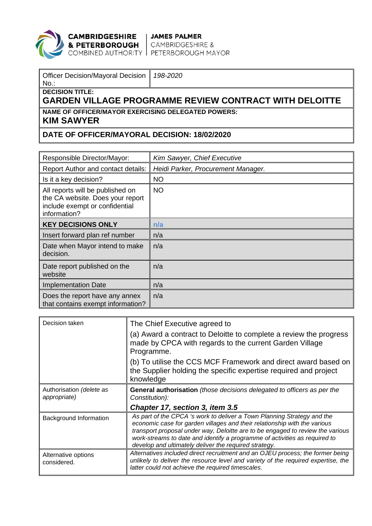

**CAMBRIDGESHIRE** JAMES PALMER<br> **& PETERBOROUGH** CAMBRIDGESHIRE &<br>
COMBINED AUTHORITY PETERBOROUGH MAYOR

| Officer Decision/Mayoral Decision   198-2020<br>$\parallel$ No |                                                                                          |
|----------------------------------------------------------------|------------------------------------------------------------------------------------------|
| $\parallel$ DECISION TITLE:                                    | <u>  A I B B BLI LUILLA A B B B A A BLI LUILLA DELLE BALIER I A BLI LUILLA DEL AUBRE</u> |

## **GARDEN VILLAGE PROGRAMME REVIEW CONTRACT WITH DELOITTE**

**NAME OF OFFICER/MAYOR EXERCISING DELEGATED POWERS: KIM SAWYER**

**DATE OF OFFICER/MAYORAL DECISION: 18/02/2020**

| Responsible Director/Mayor:                                                                                            | Kim Sawyer, Chief Executive        |
|------------------------------------------------------------------------------------------------------------------------|------------------------------------|
| Report Author and contact details:                                                                                     | Heidi Parker, Procurement Manager. |
| Is it a key decision?                                                                                                  | <b>NO</b>                          |
| All reports will be published on<br>the CA website. Does your report<br>include exempt or confidential<br>information? | <b>NO</b>                          |
| <b>KEY DECISIONS ONLY</b>                                                                                              | n/a                                |
| Insert forward plan ref number                                                                                         | n/a                                |
| Date when Mayor intend to make<br>decision.                                                                            | n/a                                |
| Date report published on the<br>website                                                                                | n/a                                |
| <b>Implementation Date</b>                                                                                             | n/a                                |
| Does the report have any annex<br>that contains exempt information?                                                    | n/a                                |

| Decision taken                           | The Chief Executive agreed to<br>(a) Award a contract to Deloitte to complete a review the progress<br>made by CPCA with regards to the current Garden Village<br>Programme.                                                                                                                                                                                                  |  |  |
|------------------------------------------|-------------------------------------------------------------------------------------------------------------------------------------------------------------------------------------------------------------------------------------------------------------------------------------------------------------------------------------------------------------------------------|--|--|
|                                          | (b) To utilise the CCS MCF Framework and direct award based on<br>the Supplier holding the specific expertise required and project<br>knowledge                                                                                                                                                                                                                               |  |  |
| Authorisation (delete as<br>appropriate) | <b>General authorisation</b> (those decisions delegated to officers as per the<br>Constitution):                                                                                                                                                                                                                                                                              |  |  |
|                                          | Chapter 17, section 3, item 3.5                                                                                                                                                                                                                                                                                                                                               |  |  |
| Background Information                   | As part of the CPCA 's work to deliver a Town Planning Strategy and the<br>economic case for garden villages and their relationship with the various<br>transport proposal under way, Deloitte are to be engaged to review the various<br>work-streams to date and identify a programme of activities as required to<br>develop and ultimately deliver the required strategy. |  |  |
| Alternative options<br>considered.       | Alternatives included direct recruitment and an OJEU process; the former being<br>unlikely to deliver the resource level and variety of the required expertise, the<br>latter could not achieve the required timescales.                                                                                                                                                      |  |  |